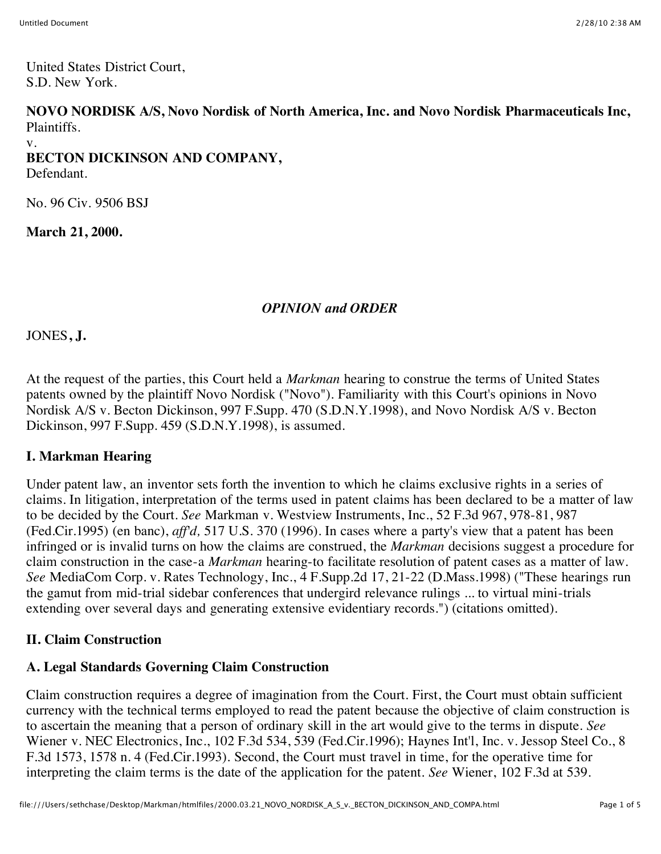United States District Court, S.D. New York.

**NOVO NORDISK A/S, Novo Nordisk of North America, Inc. and Novo Nordisk Pharmaceuticals Inc,** Plaintiffs.

v.

## **BECTON DICKINSON AND COMPANY,**

Defendant.

No. 96 Civ. 9506 BSJ

**March 21, 2000.**

## *OPINION and ORDER*

JONES**, J.**

At the request of the parties, this Court held a *Markman* hearing to construe the terms of United States patents owned by the plaintiff Novo Nordisk ("Novo"). Familiarity with this Court's opinions in Novo Nordisk A/S v. Becton Dickinson, 997 F.Supp. 470 (S.D.N.Y.1998), and Novo Nordisk A/S v. Becton Dickinson, 997 F.Supp. 459 (S.D.N.Y.1998), is assumed.

## **I. Markman Hearing**

Under patent law, an inventor sets forth the invention to which he claims exclusive rights in a series of claims. In litigation, interpretation of the terms used in patent claims has been declared to be a matter of law to be decided by the Court. *See* Markman v. Westview Instruments, Inc., 52 F.3d 967, 978-81, 987 (Fed.Cir.1995) (en banc), *aff'd,* 517 U.S. 370 (1996). In cases where a party's view that a patent has been infringed or is invalid turns on how the claims are construed, the *Markman* decisions suggest a procedure for claim construction in the case-a *Markman* hearing-to facilitate resolution of patent cases as a matter of law. *See* MediaCom Corp. v. Rates Technology, Inc., 4 F.Supp.2d 17, 21-22 (D.Mass.1998) ("These hearings run the gamut from mid-trial sidebar conferences that undergird relevance rulings ... to virtual mini-trials extending over several days and generating extensive evidentiary records.") (citations omitted).

## **II. Claim Construction**

# **A. Legal Standards Governing Claim Construction**

Claim construction requires a degree of imagination from the Court. First, the Court must obtain sufficient currency with the technical terms employed to read the patent because the objective of claim construction is to ascertain the meaning that a person of ordinary skill in the art would give to the terms in dispute. *See* Wiener v. NEC Electronics, Inc., 102 F.3d 534, 539 (Fed.Cir.1996); Haynes Int'l, Inc. v. Jessop Steel Co., 8 F.3d 1573, 1578 n. 4 (Fed.Cir.1993). Second, the Court must travel in time, for the operative time for interpreting the claim terms is the date of the application for the patent. *See* Wiener, 102 F.3d at 539.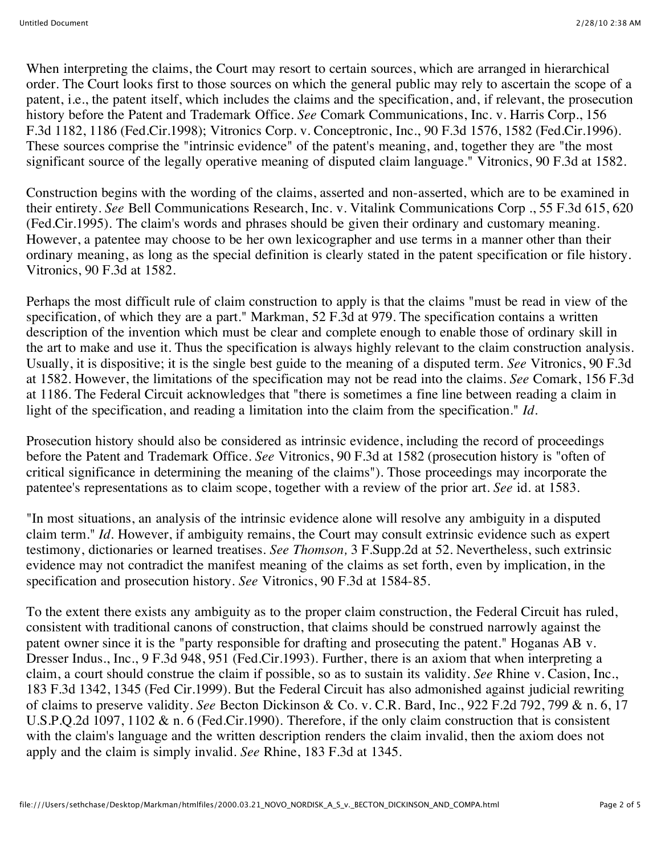When interpreting the claims, the Court may resort to certain sources, which are arranged in hierarchical order. The Court looks first to those sources on which the general public may rely to ascertain the scope of a patent, i.e., the patent itself, which includes the claims and the specification, and, if relevant, the prosecution history before the Patent and Trademark Office. *See* Comark Communications, Inc. v. Harris Corp., 156 F.3d 1182, 1186 (Fed.Cir.1998); Vitronics Corp. v. Conceptronic, Inc., 90 F.3d 1576, 1582 (Fed.Cir.1996). These sources comprise the "intrinsic evidence" of the patent's meaning, and, together they are "the most significant source of the legally operative meaning of disputed claim language." Vitronics, 90 F.3d at 1582.

Construction begins with the wording of the claims, asserted and non-asserted, which are to be examined in their entirety. *See* Bell Communications Research, Inc. v. Vitalink Communications Corp ., 55 F.3d 615, 620 (Fed.Cir.1995). The claim's words and phrases should be given their ordinary and customary meaning. However, a patentee may choose to be her own lexicographer and use terms in a manner other than their ordinary meaning, as long as the special definition is clearly stated in the patent specification or file history. Vitronics, 90 F.3d at 1582.

Perhaps the most difficult rule of claim construction to apply is that the claims "must be read in view of the specification, of which they are a part." Markman, 52 F.3d at 979. The specification contains a written description of the invention which must be clear and complete enough to enable those of ordinary skill in the art to make and use it. Thus the specification is always highly relevant to the claim construction analysis. Usually, it is dispositive; it is the single best guide to the meaning of a disputed term. *See* Vitronics, 90 F.3d at 1582. However, the limitations of the specification may not be read into the claims. *See* Comark, 156 F.3d at 1186. The Federal Circuit acknowledges that "there is sometimes a fine line between reading a claim in light of the specification, and reading a limitation into the claim from the specification." *Id.*

Prosecution history should also be considered as intrinsic evidence, including the record of proceedings before the Patent and Trademark Office. *See* Vitronics, 90 F.3d at 1582 (prosecution history is "often of critical significance in determining the meaning of the claims"). Those proceedings may incorporate the patentee's representations as to claim scope, together with a review of the prior art. *See* id. at 1583.

"In most situations, an analysis of the intrinsic evidence alone will resolve any ambiguity in a disputed claim term." *Id.* However, if ambiguity remains, the Court may consult extrinsic evidence such as expert testimony, dictionaries or learned treatises. *See Thomson,* 3 F.Supp.2d at 52. Nevertheless, such extrinsic evidence may not contradict the manifest meaning of the claims as set forth, even by implication, in the specification and prosecution history. *See* Vitronics, 90 F.3d at 1584-85.

To the extent there exists any ambiguity as to the proper claim construction, the Federal Circuit has ruled, consistent with traditional canons of construction, that claims should be construed narrowly against the patent owner since it is the "party responsible for drafting and prosecuting the patent." Hoganas AB v. Dresser Indus., Inc., 9 F.3d 948, 951 (Fed.Cir.1993). Further, there is an axiom that when interpreting a claim, a court should construe the claim if possible, so as to sustain its validity. *See* Rhine v. Casion, Inc., 183 F.3d 1342, 1345 (Fed Cir.1999). But the Federal Circuit has also admonished against judicial rewriting of claims to preserve validity. *See* Becton Dickinson & Co. v. C.R. Bard, Inc., 922 F.2d 792, 799 & n. 6, 17 U.S.P.Q.2d 1097, 1102 & n. 6 (Fed.Cir.1990). Therefore, if the only claim construction that is consistent with the claim's language and the written description renders the claim invalid, then the axiom does not apply and the claim is simply invalid. *See* Rhine, 183 F.3d at 1345.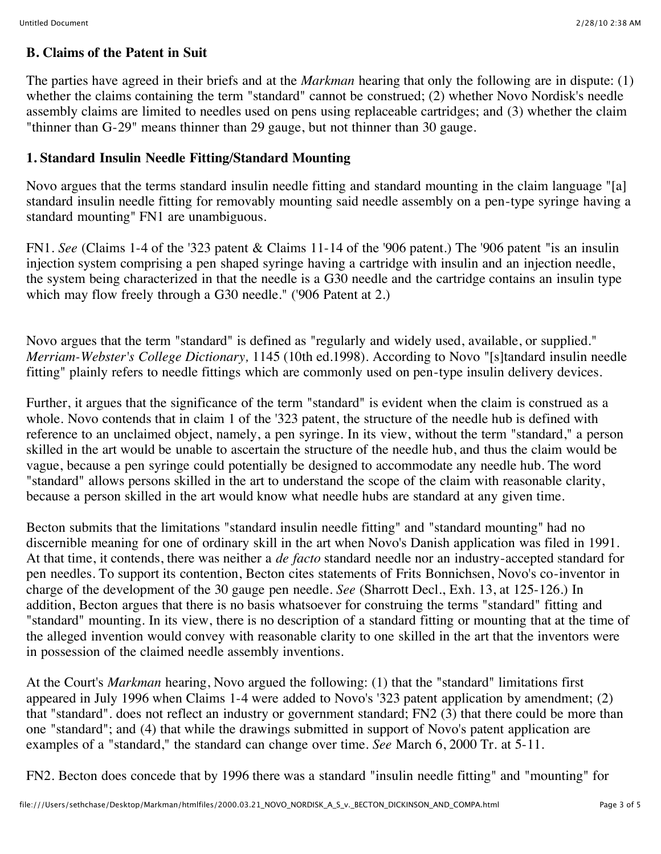#### **B. Claims of the Patent in Suit**

The parties have agreed in their briefs and at the *Markman* hearing that only the following are in dispute: (1) whether the claims containing the term "standard" cannot be construed; (2) whether Novo Nordisk's needle assembly claims are limited to needles used on pens using replaceable cartridges; and (3) whether the claim "thinner than G-29" means thinner than 29 gauge, but not thinner than 30 gauge.

#### **1. Standard Insulin Needle Fitting/Standard Mounting**

Novo argues that the terms standard insulin needle fitting and standard mounting in the claim language "[a] standard insulin needle fitting for removably mounting said needle assembly on a pen-type syringe having a standard mounting" FN1 are unambiguous.

FN1. *See* (Claims 1-4 of the '323 patent & Claims 11-14 of the '906 patent.) The '906 patent "is an insulin injection system comprising a pen shaped syringe having a cartridge with insulin and an injection needle, the system being characterized in that the needle is a G30 needle and the cartridge contains an insulin type which may flow freely through a G30 needle." ('906 Patent at 2.)

Novo argues that the term "standard" is defined as "regularly and widely used, available, or supplied." *Merriam-Webster's College Dictionary,* 1145 (10th ed.1998). According to Novo "[s]tandard insulin needle fitting" plainly refers to needle fittings which are commonly used on pen-type insulin delivery devices.

Further, it argues that the significance of the term "standard" is evident when the claim is construed as a whole. Novo contends that in claim 1 of the '323 patent, the structure of the needle hub is defined with reference to an unclaimed object, namely, a pen syringe. In its view, without the term "standard," a person skilled in the art would be unable to ascertain the structure of the needle hub, and thus the claim would be vague, because a pen syringe could potentially be designed to accommodate any needle hub. The word "standard" allows persons skilled in the art to understand the scope of the claim with reasonable clarity, because a person skilled in the art would know what needle hubs are standard at any given time.

Becton submits that the limitations "standard insulin needle fitting" and "standard mounting" had no discernible meaning for one of ordinary skill in the art when Novo's Danish application was filed in 1991. At that time, it contends, there was neither a *de facto* standard needle nor an industry-accepted standard for pen needles. To support its contention, Becton cites statements of Frits Bonnichsen, Novo's co-inventor in charge of the development of the 30 gauge pen needle. *See* (Sharrott Decl., Exh. 13, at 125-126.) In addition, Becton argues that there is no basis whatsoever for construing the terms "standard" fitting and "standard" mounting. In its view, there is no description of a standard fitting or mounting that at the time of the alleged invention would convey with reasonable clarity to one skilled in the art that the inventors were in possession of the claimed needle assembly inventions.

At the Court's *Markman* hearing, Novo argued the following: (1) that the "standard" limitations first appeared in July 1996 when Claims 1-4 were added to Novo's '323 patent application by amendment; (2) that "standard". does not reflect an industry or government standard; FN2 (3) that there could be more than one "standard"; and (4) that while the drawings submitted in support of Novo's patent application are examples of a "standard," the standard can change over time. *See* March 6, 2000 Tr. at 5-11.

FN2. Becton does concede that by 1996 there was a standard "insulin needle fitting" and "mounting" for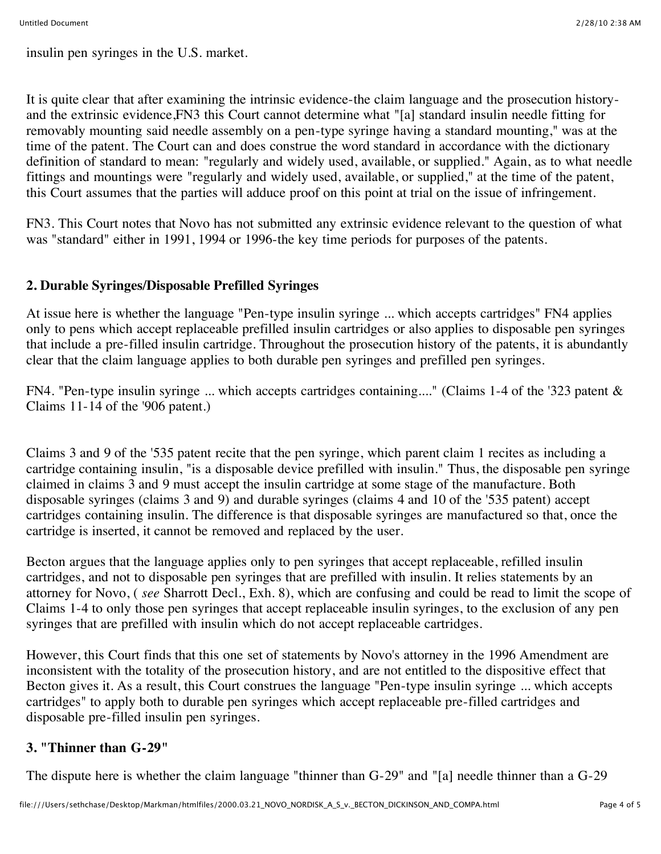insulin pen syringes in the U.S. market.

It is quite clear that after examining the intrinsic evidence-the claim language and the prosecution historyand the extrinsic evidence,FN3 this Court cannot determine what "[a] standard insulin needle fitting for removably mounting said needle assembly on a pen-type syringe having a standard mounting," was at the time of the patent. The Court can and does construe the word standard in accordance with the dictionary definition of standard to mean: "regularly and widely used, available, or supplied." Again, as to what needle fittings and mountings were "regularly and widely used, available, or supplied," at the time of the patent, this Court assumes that the parties will adduce proof on this point at trial on the issue of infringement.

FN3. This Court notes that Novo has not submitted any extrinsic evidence relevant to the question of what was "standard" either in 1991, 1994 or 1996-the key time periods for purposes of the patents.

### **2. Durable Syringes/Disposable Prefilled Syringes**

At issue here is whether the language "Pen-type insulin syringe ... which accepts cartridges" FN4 applies only to pens which accept replaceable prefilled insulin cartridges or also applies to disposable pen syringes that include a pre-filled insulin cartridge. Throughout the prosecution history of the patents, it is abundantly clear that the claim language applies to both durable pen syringes and prefilled pen syringes.

FN4. "Pen-type insulin syringe ... which accepts cartridges containing...." (Claims 1-4 of the '323 patent & Claims 11-14 of the '906 patent.)

Claims 3 and 9 of the '535 patent recite that the pen syringe, which parent claim 1 recites as including a cartridge containing insulin, "is a disposable device prefilled with insulin." Thus, the disposable pen syringe claimed in claims 3 and 9 must accept the insulin cartridge at some stage of the manufacture. Both disposable syringes (claims 3 and 9) and durable syringes (claims 4 and 10 of the '535 patent) accept cartridges containing insulin. The difference is that disposable syringes are manufactured so that, once the cartridge is inserted, it cannot be removed and replaced by the user.

Becton argues that the language applies only to pen syringes that accept replaceable, refilled insulin cartridges, and not to disposable pen syringes that are prefilled with insulin. It relies statements by an attorney for Novo, ( *see* Sharrott Decl., Exh. 8), which are confusing and could be read to limit the scope of Claims 1-4 to only those pen syringes that accept replaceable insulin syringes, to the exclusion of any pen syringes that are prefilled with insulin which do not accept replaceable cartridges.

However, this Court finds that this one set of statements by Novo's attorney in the 1996 Amendment are inconsistent with the totality of the prosecution history, and are not entitled to the dispositive effect that Becton gives it. As a result, this Court construes the language "Pen-type insulin syringe ... which accepts cartridges" to apply both to durable pen syringes which accept replaceable pre-filled cartridges and disposable pre-filled insulin pen syringes.

#### **3. "Thinner than G-29"**

The dispute here is whether the claim language "thinner than G-29" and "[a] needle thinner than a G-29